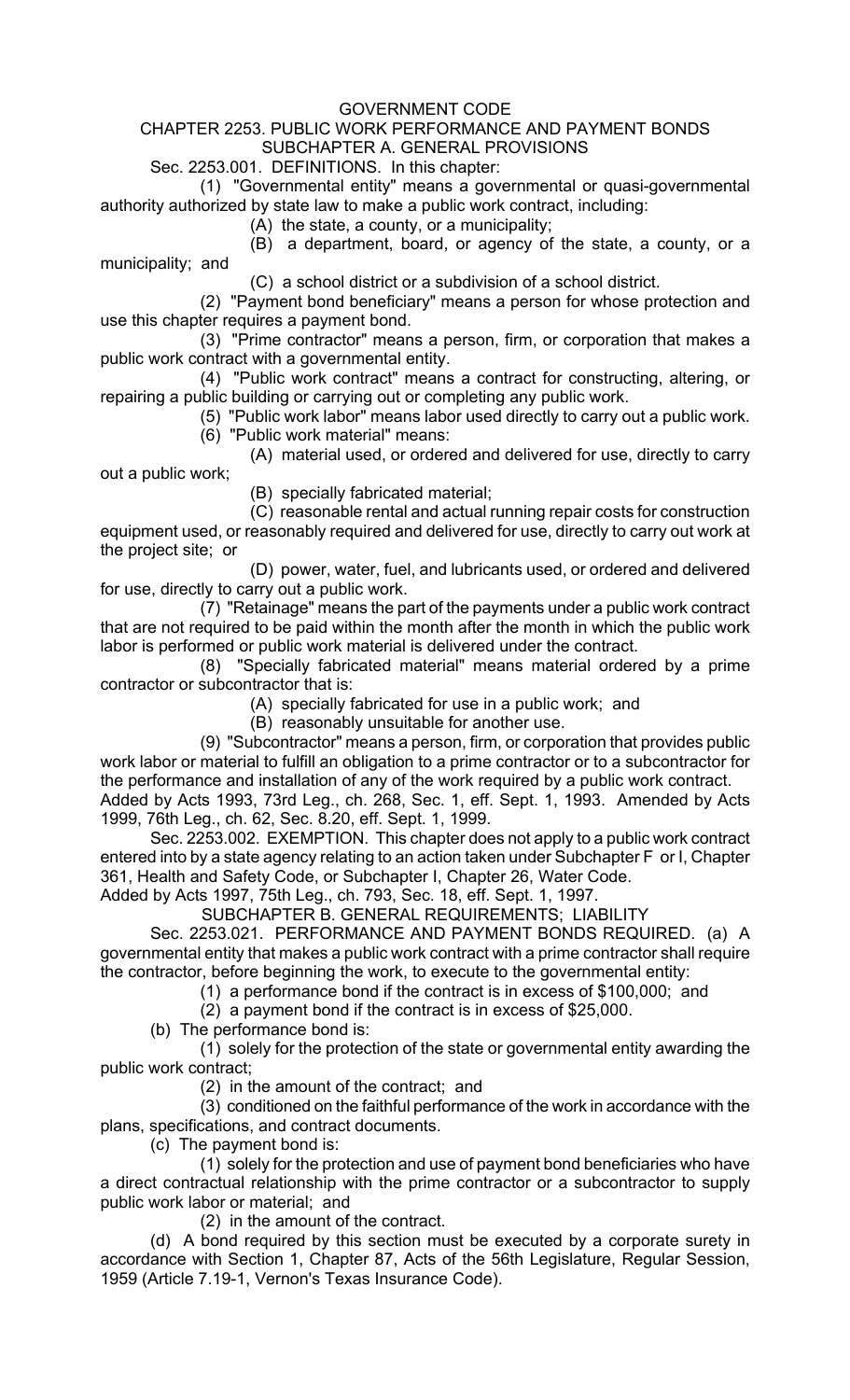## GOVERNMENT CODE

## CHAPTER 2253. PUBLIC WORK PERFORMANCE AND PAYMENT BONDS SUBCHAPTER A. GENERAL PROVISIONS

## Sec. 2253.001. DEFINITIONS. In this chapter:

(1) "Governmental entity" means a governmental or quasi-governmental authority authorized by state law to make a public work contract, including:

(A) the state, a county, or a municipality;

(B) a department, board, or agency of the state, a county, or a municipality; and

(C) a school district or a subdivision of a school district.

(2) "Payment bond beneficiary" means a person for whose protection and use this chapter requires a payment bond.

(3) "Prime contractor" means a person, firm, or corporation that makes a public work contract with a governmental entity.

(4) "Public work contract" means a contract for constructing, altering, or repairing a public building or carrying out or completing any public work.

(5) "Public work labor" means labor used directly to carry out a public work. (6) "Public work material" means:

(A) material used, or ordered and delivered for use, directly to carry out a public work;

(B) specially fabricated material;

(C) reasonable rental and actual running repair costs for construction equipment used, or reasonably required and delivered for use, directly to carry out work at the project site; or

(D) power, water, fuel, and lubricants used, or ordered and delivered for use, directly to carry out a public work.

(7) "Retainage" means the part of the payments under a public work contract that are not required to be paid within the month after the month in which the public work labor is performed or public work material is delivered under the contract.

(8) "Specially fabricated material" means material ordered by a prime contractor or subcontractor that is:

(A) specially fabricated for use in a public work; and

(B) reasonably unsuitable for another use.

(9) "Subcontractor" means a person, firm, or corporation that provides public work labor or material to fulfill an obligation to a prime contractor or to a subcontractor for the performance and installation of any of the work required by a public work contract.

Added by Acts 1993, 73rd Leg., ch. 268, Sec. 1, eff. Sept. 1, 1993. Amended by Acts 1999, 76th Leg., ch. 62, Sec. 8.20, eff. Sept. 1, 1999.

Sec. 2253.002. EXEMPTION. This chapter does not apply to a public work contract entered into by a state agency relating to an action taken under Subchapter F or I, Chapter 361, Health and Safety Code, or Subchapter I, Chapter 26, Water Code. Added by Acts 1997, 75th Leg., ch. 793, Sec. 18, eff. Sept. 1, 1997.

SUBCHAPTER B. GENERAL REQUIREMENTS; LIABILITY

Sec. 2253.021. PERFORMANCE AND PAYMENT BONDS REQUIRED. (a) A governmental entity that makes a public work contract with a prime contractor shall require the contractor, before beginning the work, to execute to the governmental entity:

(1) a performance bond if the contract is in excess of \$100,000; and

(2) a payment bond if the contract is in excess of \$25,000.

(b) The performance bond is:

(1) solely for the protection of the state or governmental entity awarding the public work contract;

(2) in the amount of the contract; and

(3) conditioned on the faithful performance of the work in accordance with the plans, specifications, and contract documents.

(c) The payment bond is:

(1) solely for the protection and use of payment bond beneficiaries who have a direct contractual relationship with the prime contractor or a subcontractor to supply public work labor or material; and

(2) in the amount of the contract.

(d) A bond required by this section must be executed by a corporate surety in accordance with Section 1, Chapter 87, Acts of the 56th Legislature, Regular Session, 1959 (Article 7.19-1, Vernon's Texas Insurance Code).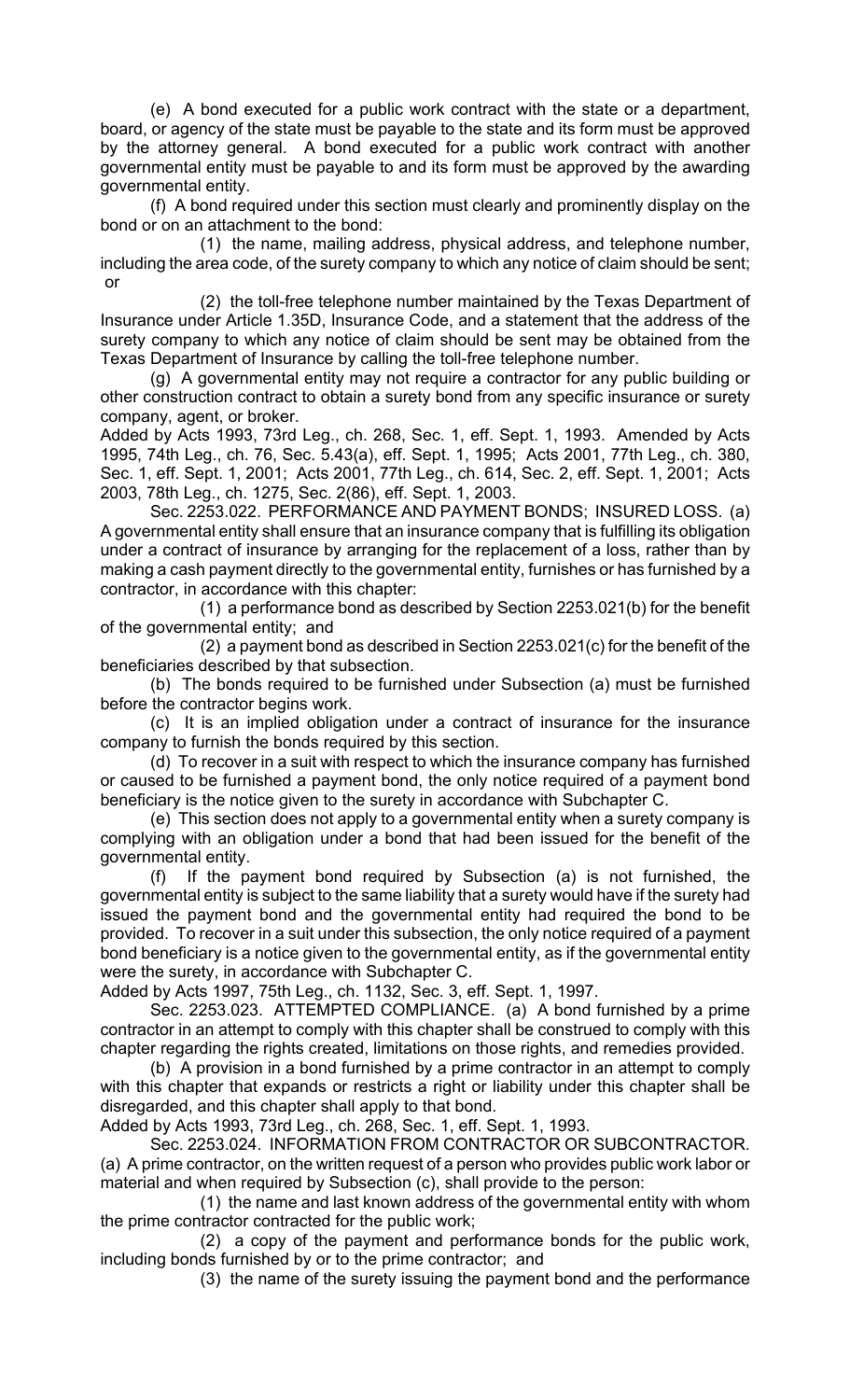(e) A bond executed for a public work contract with the state or a department, board, or agency of the state must be payable to the state and its form must be approved by the attorney general. A bond executed for a public work contract with another governmental entity must be payable to and its form must be approved by the awarding governmental entity.

(f) A bond required under this section must clearly and prominently display on the bond or on an attachment to the bond:

(1) the name, mailing address, physical address, and telephone number, including the area code, of the surety company to which any notice of claim should be sent; or

(2) the toll-free telephone number maintained by the Texas Department of Insurance under Article 1.35D, Insurance Code, and a statement that the address of the surety company to which any notice of claim should be sent may be obtained from the Texas Department of Insurance by calling the toll-free telephone number.

(g) A governmental entity may not require a contractor for any public building or other construction contract to obtain a surety bond from any specific insurance or surety company, agent, or broker.

Added by Acts 1993, 73rd Leg., ch. 268, Sec. 1, eff. Sept. 1, 1993. Amended by Acts 1995, 74th Leg., ch. 76, Sec. 5.43(a), eff. Sept. 1, 1995; Acts 2001, 77th Leg., ch. 380, Sec. 1, eff. Sept. 1, 2001; Acts 2001, 77th Leg., ch. 614, Sec. 2, eff. Sept. 1, 2001; Acts 2003, 78th Leg., ch. 1275, Sec. 2(86), eff. Sept. 1, 2003.

Sec. 2253.022. PERFORMANCE AND PAYMENT BONDS; INSURED LOSS. (a) A governmental entity shall ensure that an insurance company that is fulfilling its obligation under a contract of insurance by arranging for the replacement of a loss, rather than by making a cash payment directly to the governmental entity, furnishes or has furnished by a contractor, in accordance with this chapter:

(1) a performance bond as described by Section 2253.021(b) for the benefit of the governmental entity; and

(2) a payment bond as described in Section 2253.021(c) for the benefit of the beneficiaries described by that subsection.

(b) The bonds required to be furnished under Subsection (a) must be furnished before the contractor begins work.

(c) It is an implied obligation under a contract of insurance for the insurance company to furnish the bonds required by this section.

(d) To recover in a suit with respect to which the insurance company has furnished or caused to be furnished a payment bond, the only notice required of a payment bond beneficiary is the notice given to the surety in accordance with Subchapter C.

(e) This section does not apply to a governmental entity when a surety company is complying with an obligation under a bond that had been issued for the benefit of the governmental entity.

(f) If the payment bond required by Subsection (a) is not furnished, the governmental entity is subject to the same liability that a surety would have if the surety had issued the payment bond and the governmental entity had required the bond to be provided. To recover in a suit under this subsection, the only notice required of a payment bond beneficiary is a notice given to the governmental entity, as if the governmental entity were the surety, in accordance with Subchapter C.

Added by Acts 1997, 75th Leg., ch. 1132, Sec. 3, eff. Sept. 1, 1997.

Sec. 2253.023. ATTEMPTED COMPLIANCE. (a) A bond furnished by a prime contractor in an attempt to comply with this chapter shall be construed to comply with this chapter regarding the rights created, limitations on those rights, and remedies provided.

(b) A provision in a bond furnished by a prime contractor in an attempt to comply with this chapter that expands or restricts a right or liability under this chapter shall be disregarded, and this chapter shall apply to that bond.

Added by Acts 1993, 73rd Leg., ch. 268, Sec. 1, eff. Sept. 1, 1993.

Sec. 2253.024. INFORMATION FROM CONTRACTOR OR SUBCONTRACTOR. (a) A prime contractor, on the written request of a person who provides public work labor or material and when required by Subsection (c), shall provide to the person:

(1) the name and last known address of the governmental entity with whom the prime contractor contracted for the public work;

(2) a copy of the payment and performance bonds for the public work, including bonds furnished by or to the prime contractor; and

(3) the name of the surety issuing the payment bond and the performance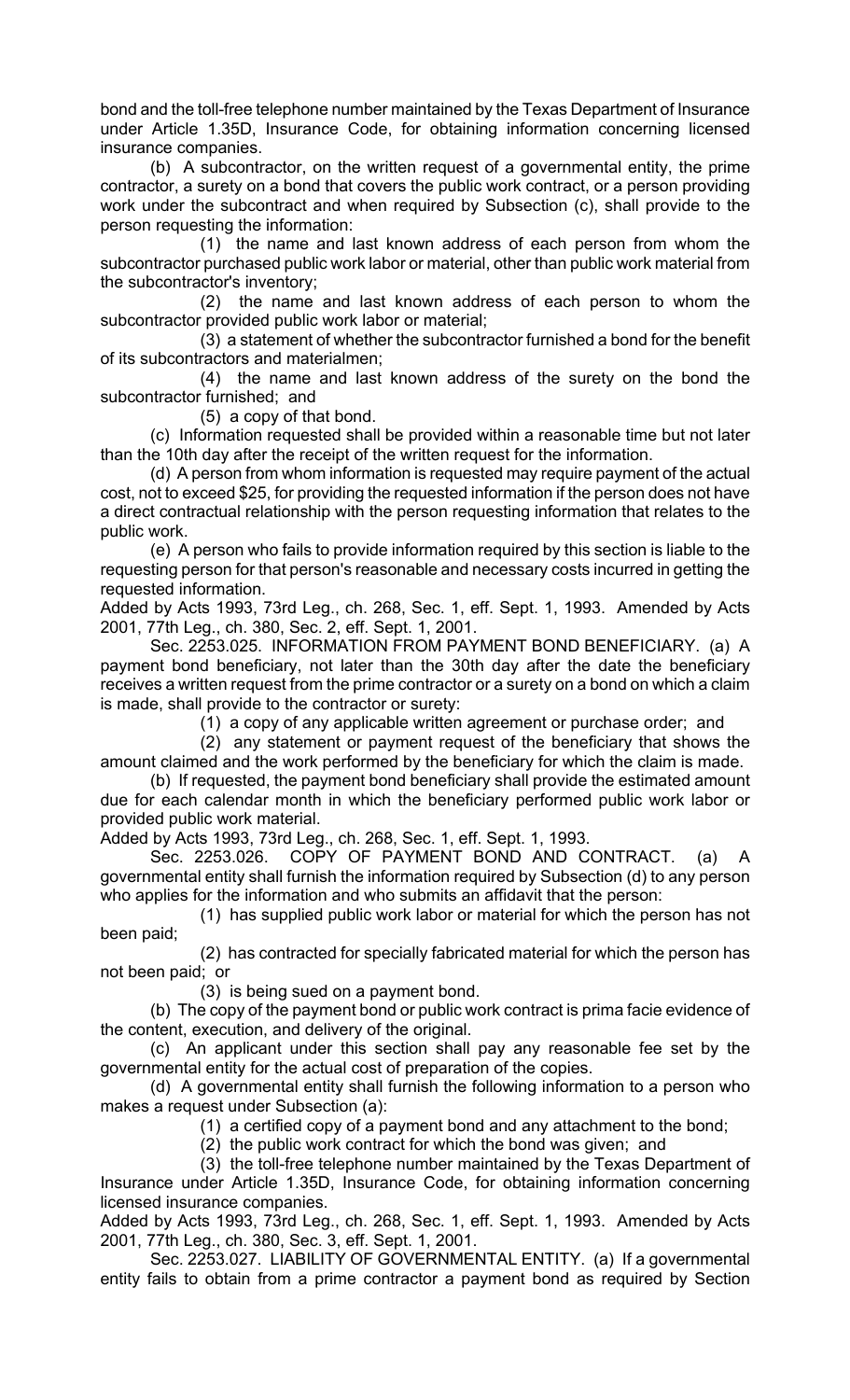bond and the toll-free telephone number maintained by the Texas Department of Insurance under Article 1.35D, Insurance Code, for obtaining information concerning licensed insurance companies.

(b) A subcontractor, on the written request of a governmental entity, the prime contractor, a surety on a bond that covers the public work contract, or a person providing work under the subcontract and when required by Subsection (c), shall provide to the person requesting the information:

(1) the name and last known address of each person from whom the subcontractor purchased public work labor or material, other than public work material from the subcontractor's inventory;

(2) the name and last known address of each person to whom the subcontractor provided public work labor or material;

(3) a statement of whether the subcontractor furnished a bond for the benefit of its subcontractors and materialmen;

(4) the name and last known address of the surety on the bond the subcontractor furnished; and

(5) a copy of that bond.

(c) Information requested shall be provided within a reasonable time but not later than the 10th day after the receipt of the written request for the information.

(d) A person from whom information is requested may require payment of the actual cost, not to exceed \$25, for providing the requested information if the person does not have a direct contractual relationship with the person requesting information that relates to the public work.

(e) A person who fails to provide information required by this section is liable to the requesting person for that person's reasonable and necessary costs incurred in getting the requested information.

Added by Acts 1993, 73rd Leg., ch. 268, Sec. 1, eff. Sept. 1, 1993. Amended by Acts 2001, 77th Leg., ch. 380, Sec. 2, eff. Sept. 1, 2001.

Sec. 2253.025. INFORMATION FROM PAYMENT BOND BENEFICIARY. (a) A payment bond beneficiary, not later than the 30th day after the date the beneficiary receives a written request from the prime contractor or a surety on a bond on which a claim is made, shall provide to the contractor or surety:

(1) a copy of any applicable written agreement or purchase order; and

(2) any statement or payment request of the beneficiary that shows the amount claimed and the work performed by the beneficiary for which the claim is made.

(b) If requested, the payment bond beneficiary shall provide the estimated amount due for each calendar month in which the beneficiary performed public work labor or provided public work material.

Added by Acts 1993, 73rd Leg., ch. 268, Sec. 1, eff. Sept. 1, 1993.

Sec. 2253.026. COPY OF PAYMENT BOND AND CONTRACT. (a) A governmental entity shall furnish the information required by Subsection (d) to any person who applies for the information and who submits an affidavit that the person:

(1) has supplied public work labor or material for which the person has not been paid;

(2) has contracted for specially fabricated material for which the person has not been paid; or

(3) is being sued on a payment bond.

(b) The copy of the payment bond or public work contract is prima facie evidence of the content, execution, and delivery of the original.

(c) An applicant under this section shall pay any reasonable fee set by the governmental entity for the actual cost of preparation of the copies.

(d) A governmental entity shall furnish the following information to a person who makes a request under Subsection (a):

(1) a certified copy of a payment bond and any attachment to the bond;

(2) the public work contract for which the bond was given; and

(3) the toll-free telephone number maintained by the Texas Department of

Insurance under Article 1.35D, Insurance Code, for obtaining information concerning licensed insurance companies.

Added by Acts 1993, 73rd Leg., ch. 268, Sec. 1, eff. Sept. 1, 1993. Amended by Acts 2001, 77th Leg., ch. 380, Sec. 3, eff. Sept. 1, 2001.

Sec. 2253.027. LIABILITY OF GOVERNMENTAL ENTITY. (a) If a governmental entity fails to obtain from a prime contractor a payment bond as required by Section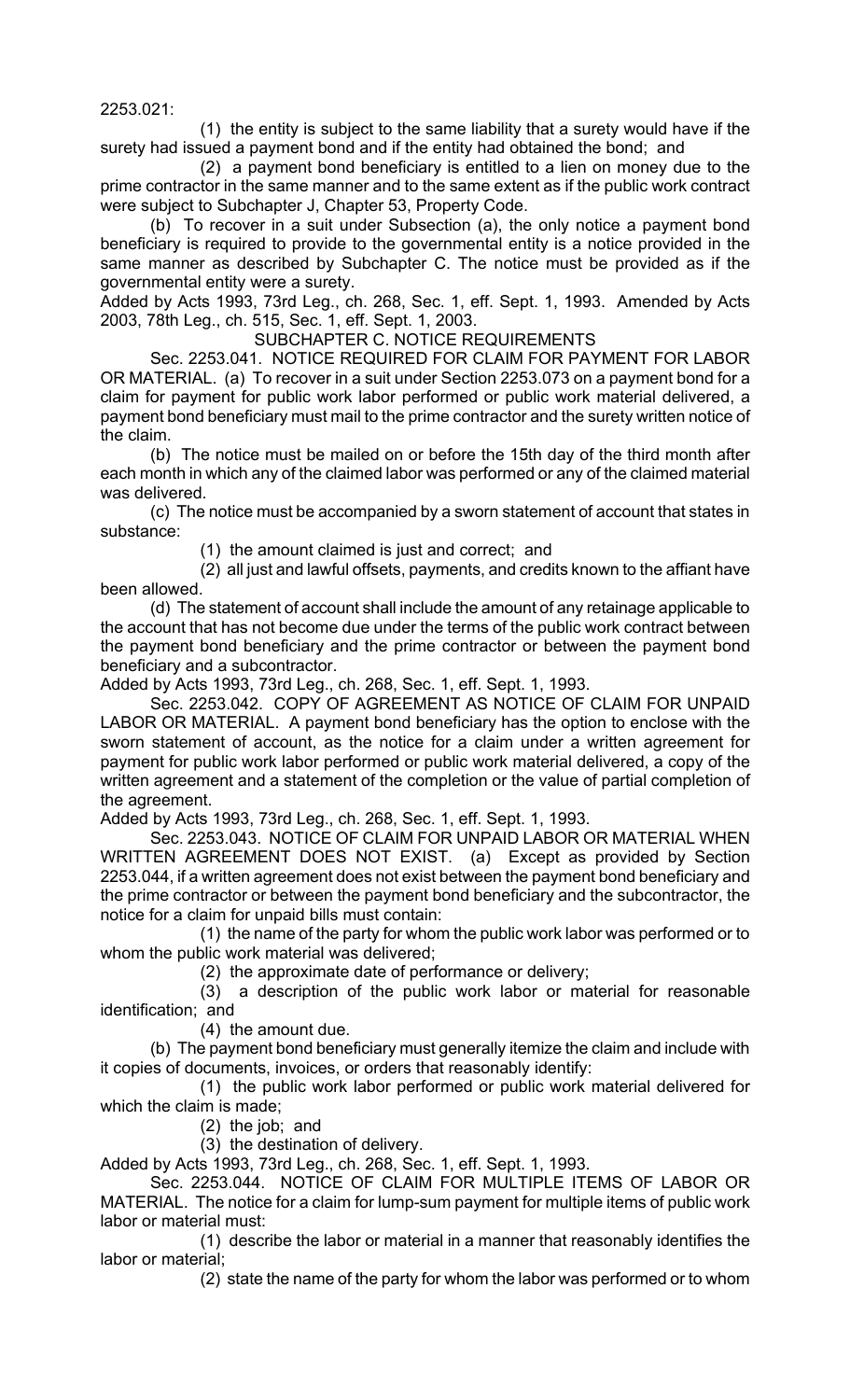2253.021:

(1) the entity is subject to the same liability that a surety would have if the surety had issued a payment bond and if the entity had obtained the bond; and

(2) a payment bond beneficiary is entitled to a lien on money due to the prime contractor in the same manner and to the same extent as if the public work contract were subject to Subchapter J, Chapter 53, Property Code.

(b) To recover in a suit under Subsection (a), the only notice a payment bond beneficiary is required to provide to the governmental entity is a notice provided in the same manner as described by Subchapter C. The notice must be provided as if the governmental entity were a surety.

Added by Acts 1993, 73rd Leg., ch. 268, Sec. 1, eff. Sept. 1, 1993. Amended by Acts 2003, 78th Leg., ch. 515, Sec. 1, eff. Sept. 1, 2003.

SUBCHAPTER C. NOTICE REQUIREMENTS

Sec. 2253.041. NOTICE REQUIRED FOR CLAIM FOR PAYMENT FOR LABOR OR MATERIAL. (a) To recover in a suit under Section 2253.073 on a payment bond for a claim for payment for public work labor performed or public work material delivered, a payment bond beneficiary must mail to the prime contractor and the surety written notice of the claim.

(b) The notice must be mailed on or before the 15th day of the third month after each month in which any of the claimed labor was performed or any of the claimed material was delivered.

(c) The notice must be accompanied by a sworn statement of account that states in substance:

(1) the amount claimed is just and correct; and

(2) all just and lawful offsets, payments, and credits known to the affiant have been allowed.

(d) The statement of account shall include the amount of any retainage applicable to the account that has not become due under the terms of the public work contract between the payment bond beneficiary and the prime contractor or between the payment bond beneficiary and a subcontractor.

Added by Acts 1993, 73rd Leg., ch. 268, Sec. 1, eff. Sept. 1, 1993.

Sec. 2253.042. COPY OF AGREEMENT AS NOTICE OF CLAIM FOR UNPAID LABOR OR MATERIAL. A payment bond beneficiary has the option to enclose with the sworn statement of account, as the notice for a claim under a written agreement for payment for public work labor performed or public work material delivered, a copy of the written agreement and a statement of the completion or the value of partial completion of the agreement.

Added by Acts 1993, 73rd Leg., ch. 268, Sec. 1, eff. Sept. 1, 1993.

Sec. 2253.043. NOTICE OF CLAIM FOR UNPAID LABOR OR MATERIAL WHEN WRITTEN AGREEMENT DOES NOT EXIST. (a) Except as provided by Section 2253.044, if a written agreement does not exist between the payment bond beneficiary and the prime contractor or between the payment bond beneficiary and the subcontractor, the notice for a claim for unpaid bills must contain:

(1) the name of the party for whom the public work labor was performed or to whom the public work material was delivered;

(2) the approximate date of performance or delivery;

(3) a description of the public work labor or material for reasonable identification; and

(4) the amount due.

(b) The payment bond beneficiary must generally itemize the claim and include with it copies of documents, invoices, or orders that reasonably identify:

(1) the public work labor performed or public work material delivered for which the claim is made;

(2) the job; and

(3) the destination of delivery.

Added by Acts 1993, 73rd Leg., ch. 268, Sec. 1, eff. Sept. 1, 1993.

Sec. 2253.044. NOTICE OF CLAIM FOR MULTIPLE ITEMS OF LABOR OR MATERIAL. The notice for a claim for lump-sum payment for multiple items of public work labor or material must:

(1) describe the labor or material in a manner that reasonably identifies the labor or material;

(2) state the name of the party for whom the labor was performed or to whom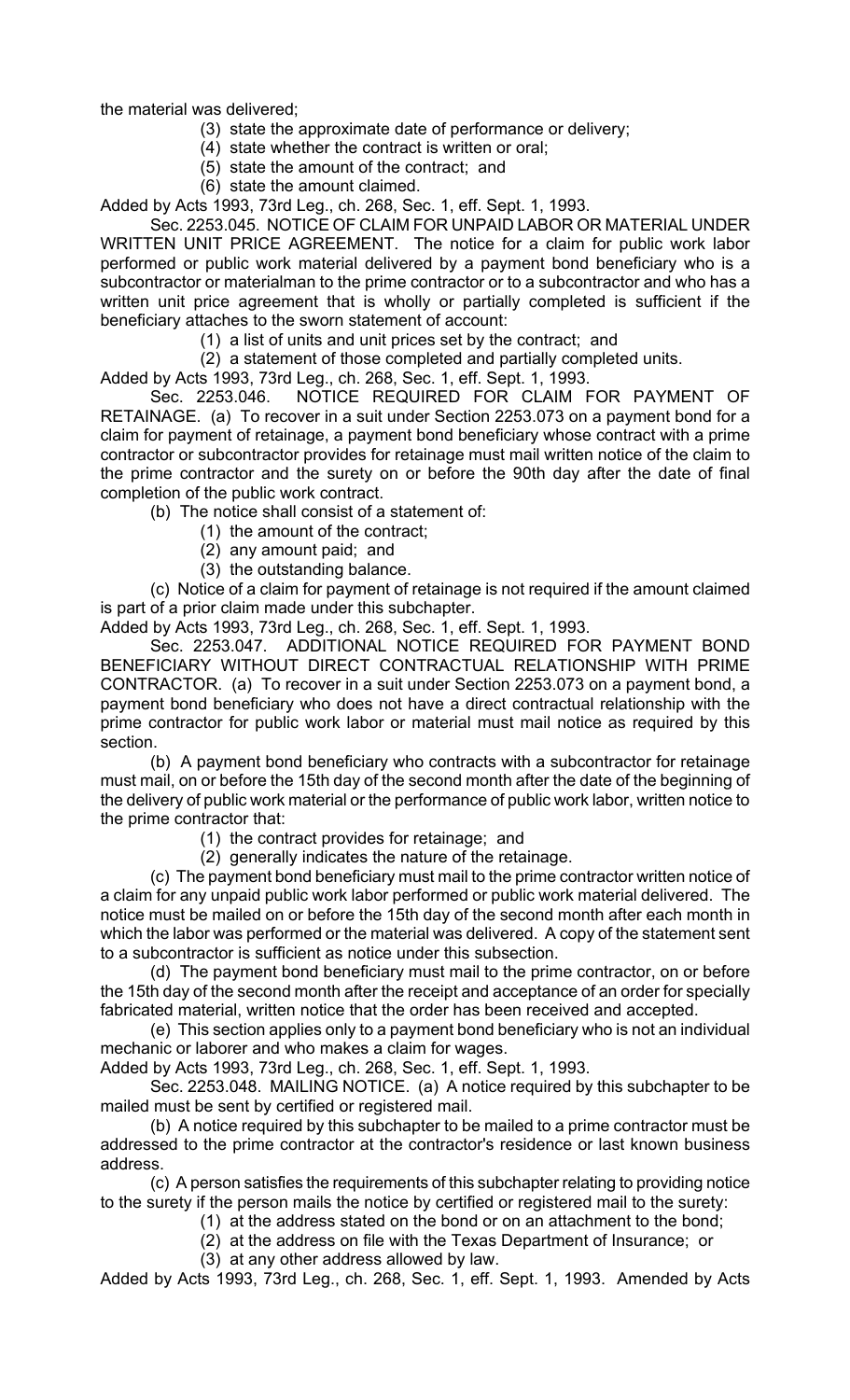the material was delivered;

- (3) state the approximate date of performance or delivery;
- (4) state whether the contract is written or oral;
- (5) state the amount of the contract; and
- (6) state the amount claimed.

Added by Acts 1993, 73rd Leg., ch. 268, Sec. 1, eff. Sept. 1, 1993.

Sec. 2253.045. NOTICE OF CLAIM FOR UNPAID LABOR OR MATERIAL UNDER WRITTEN UNIT PRICE AGREEMENT. The notice for a claim for public work labor performed or public work material delivered by a payment bond beneficiary who is a subcontractor or materialman to the prime contractor or to a subcontractor and who has a written unit price agreement that is wholly or partially completed is sufficient if the beneficiary attaches to the sworn statement of account:

(1) a list of units and unit prices set by the contract; and

(2) a statement of those completed and partially completed units.

Added by Acts 1993, 73rd Leg., ch. 268, Sec. 1, eff. Sept. 1, 1993.

Sec. 2253.046. NOTICE REQUIRED FOR CLAIM FOR PAYMENT OF RETAINAGE. (a) To recover in a suit under Section 2253.073 on a payment bond for a claim for payment of retainage, a payment bond beneficiary whose contract with a prime contractor or subcontractor provides for retainage must mail written notice of the claim to the prime contractor and the surety on or before the 90th day after the date of final completion of the public work contract.

(b) The notice shall consist of a statement of:

- (1) the amount of the contract;
- (2) any amount paid; and
- (3) the outstanding balance.

(c) Notice of a claim for payment of retainage is not required if the amount claimed is part of a prior claim made under this subchapter.

Added by Acts 1993, 73rd Leg., ch. 268, Sec. 1, eff. Sept. 1, 1993.

Sec. 2253.047. ADDITIONAL NOTICE REQUIRED FOR PAYMENT BOND BENEFICIARY WITHOUT DIRECT CONTRACTUAL RELATIONSHIP WITH PRIME CONTRACTOR. (a) To recover in a suit under Section 2253.073 on a payment bond, a payment bond beneficiary who does not have a direct contractual relationship with the prime contractor for public work labor or material must mail notice as required by this section.

(b) A payment bond beneficiary who contracts with a subcontractor for retainage must mail, on or before the 15th day of the second month after the date of the beginning of the delivery of public work material or the performance of public work labor, written notice to the prime contractor that:

(1) the contract provides for retainage; and

(2) generally indicates the nature of the retainage.

(c) The payment bond beneficiary must mail to the prime contractor written notice of a claim for any unpaid public work labor performed or public work material delivered. The notice must be mailed on or before the 15th day of the second month after each month in which the labor was performed or the material was delivered. A copy of the statement sent to a subcontractor is sufficient as notice under this subsection.

(d) The payment bond beneficiary must mail to the prime contractor, on or before the 15th day of the second month after the receipt and acceptance of an order for specially fabricated material, written notice that the order has been received and accepted.

(e) This section applies only to a payment bond beneficiary who is not an individual mechanic or laborer and who makes a claim for wages.

Added by Acts 1993, 73rd Leg., ch. 268, Sec. 1, eff. Sept. 1, 1993.

Sec. 2253.048. MAILING NOTICE. (a) A notice required by this subchapter to be mailed must be sent by certified or registered mail.

(b) A notice required by this subchapter to be mailed to a prime contractor must be addressed to the prime contractor at the contractor's residence or last known business address.

(c) A person satisfies the requirements of this subchapter relating to providing notice to the surety if the person mails the notice by certified or registered mail to the surety:

- (1) at the address stated on the bond or on an attachment to the bond;
	- (2) at the address on file with the Texas Department of Insurance; or

(3) at any other address allowed by law.

Added by Acts 1993, 73rd Leg., ch. 268, Sec. 1, eff. Sept. 1, 1993. Amended by Acts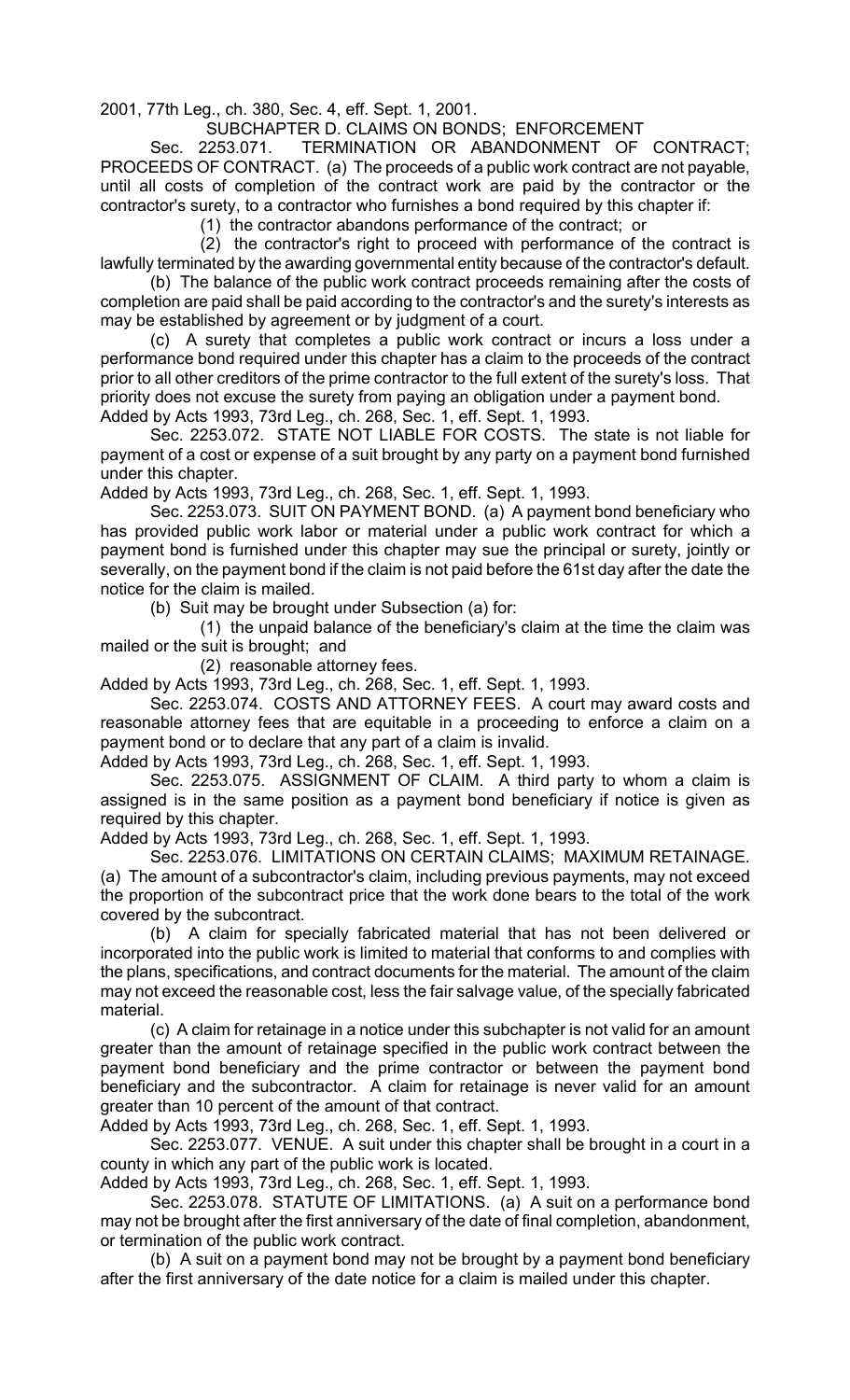2001, 77th Leg., ch. 380, Sec. 4, eff. Sept. 1, 2001.

SUBCHAPTER D. CLAIMS ON BONDS; ENFORCEMENT

Sec. 2253.071. TERMINATION OR ABANDONMENT OF CONTRACT; PROCEEDS OF CONTRACT. (a) The proceeds of a public work contract are not payable, until all costs of completion of the contract work are paid by the contractor or the contractor's surety, to a contractor who furnishes a bond required by this chapter if:

(1) the contractor abandons performance of the contract; or

(2) the contractor's right to proceed with performance of the contract is lawfully terminated by the awarding governmental entity because of the contractor's default.

(b) The balance of the public work contract proceeds remaining after the costs of completion are paid shall be paid according to the contractor's and the surety's interests as may be established by agreement or by judgment of a court.

(c) A surety that completes a public work contract or incurs a loss under a performance bond required under this chapter has a claim to the proceeds of the contract prior to all other creditors of the prime contractor to the full extent of the surety's loss. That priority does not excuse the surety from paying an obligation under a payment bond.

Added by Acts 1993, 73rd Leg., ch. 268, Sec. 1, eff. Sept. 1, 1993.

Sec. 2253.072. STATE NOT LIABLE FOR COSTS. The state is not liable for payment of a cost or expense of a suit brought by any party on a payment bond furnished under this chapter.

Added by Acts 1993, 73rd Leg., ch. 268, Sec. 1, eff. Sept. 1, 1993.

Sec. 2253.073. SUIT ON PAYMENT BOND. (a) A payment bond beneficiary who has provided public work labor or material under a public work contract for which a payment bond is furnished under this chapter may sue the principal or surety, jointly or severally, on the payment bond if the claim is not paid before the 61st day after the date the notice for the claim is mailed.

(b) Suit may be brought under Subsection (a) for:

(1) the unpaid balance of the beneficiary's claim at the time the claim was mailed or the suit is brought; and

(2) reasonable attorney fees.

Added by Acts 1993, 73rd Leg., ch. 268, Sec. 1, eff. Sept. 1, 1993.

Sec. 2253.074. COSTS AND ATTORNEY FEES. A court may award costs and reasonable attorney fees that are equitable in a proceeding to enforce a claim on a payment bond or to declare that any part of a claim is invalid.

Added by Acts 1993, 73rd Leg., ch. 268, Sec. 1, eff. Sept. 1, 1993.

Sec. 2253.075. ASSIGNMENT OF CLAIM. A third party to whom a claim is assigned is in the same position as a payment bond beneficiary if notice is given as required by this chapter.

Added by Acts 1993, 73rd Leg., ch. 268, Sec. 1, eff. Sept. 1, 1993.

Sec. 2253.076. LIMITATIONS ON CERTAIN CLAIMS; MAXIMUM RETAINAGE. (a) The amount of a subcontractor's claim, including previous payments, may not exceed the proportion of the subcontract price that the work done bears to the total of the work covered by the subcontract.

(b) A claim for specially fabricated material that has not been delivered or incorporated into the public work is limited to material that conforms to and complies with the plans, specifications, and contract documents for the material. The amount of the claim may not exceed the reasonable cost, less the fair salvage value, of the specially fabricated material.

(c) A claim for retainage in a notice under this subchapter is not valid for an amount greater than the amount of retainage specified in the public work contract between the payment bond beneficiary and the prime contractor or between the payment bond beneficiary and the subcontractor. A claim for retainage is never valid for an amount greater than 10 percent of the amount of that contract.

Added by Acts 1993, 73rd Leg., ch. 268, Sec. 1, eff. Sept. 1, 1993.

Sec. 2253.077. VENUE. A suit under this chapter shall be brought in a court in a county in which any part of the public work is located.

Added by Acts 1993, 73rd Leg., ch. 268, Sec. 1, eff. Sept. 1, 1993.

Sec. 2253.078. STATUTE OF LIMITATIONS. (a) A suit on a performance bond may not be brought after the first anniversary of the date of final completion, abandonment, or termination of the public work contract.

(b) A suit on a payment bond may not be brought by a payment bond beneficiary after the first anniversary of the date notice for a claim is mailed under this chapter.